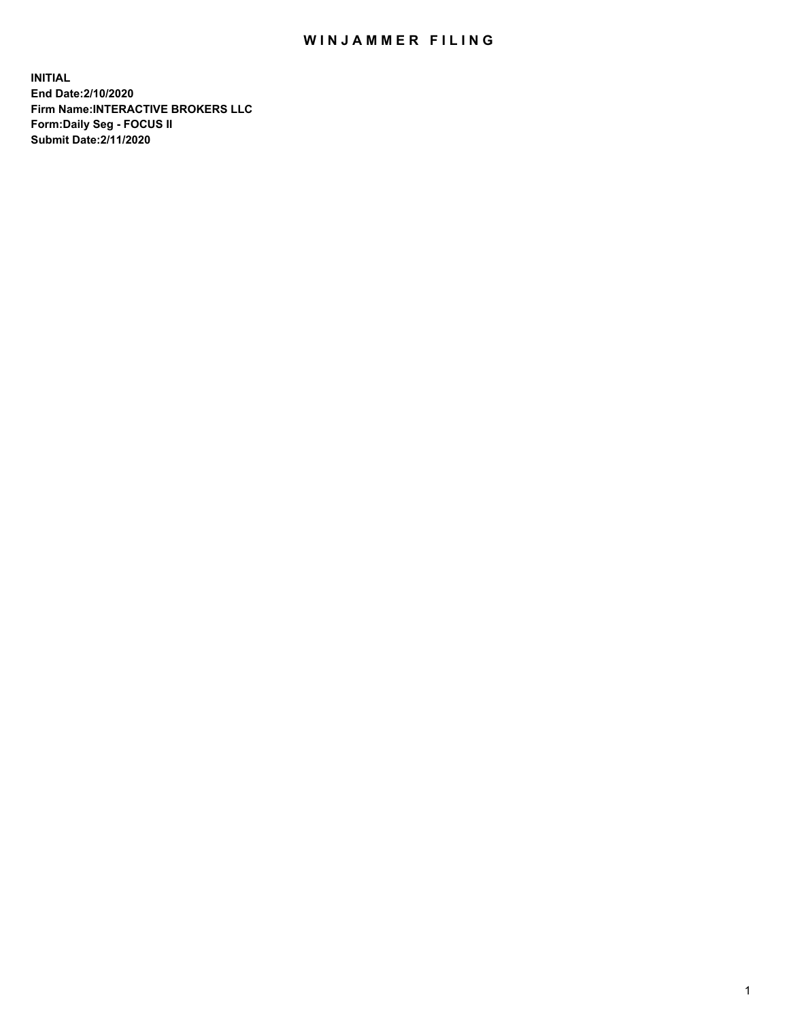## WIN JAMMER FILING

**INITIAL End Date:2/10/2020 Firm Name:INTERACTIVE BROKERS LLC Form:Daily Seg - FOCUS II Submit Date:2/11/2020**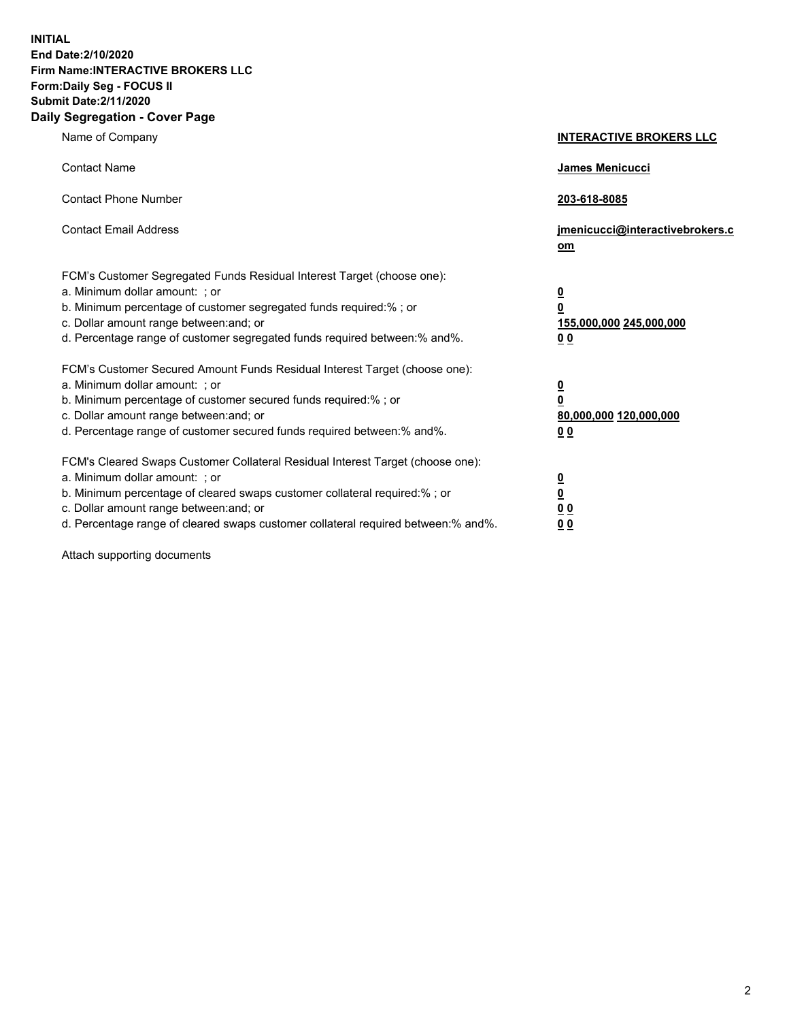**INITIAL End Date:2/10/2020 Firm Name:INTERACTIVE BROKERS LLC Form:Daily Seg - FOCUS II Submit Date:2/11/2020 Daily Segregation - Cover Page**

| Name of Company                                                                                                                                                                                                                                                                                                                 | <b>INTERACTIVE BROKERS LLC</b>                                                   |
|---------------------------------------------------------------------------------------------------------------------------------------------------------------------------------------------------------------------------------------------------------------------------------------------------------------------------------|----------------------------------------------------------------------------------|
| <b>Contact Name</b>                                                                                                                                                                                                                                                                                                             | <b>James Menicucci</b>                                                           |
| <b>Contact Phone Number</b>                                                                                                                                                                                                                                                                                                     | 203-618-8085                                                                     |
| <b>Contact Email Address</b>                                                                                                                                                                                                                                                                                                    | jmenicucci@interactivebrokers.c<br>om                                            |
| FCM's Customer Segregated Funds Residual Interest Target (choose one):<br>a. Minimum dollar amount: ; or<br>b. Minimum percentage of customer segregated funds required:% ; or<br>c. Dollar amount range between: and; or<br>d. Percentage range of customer segregated funds required between:% and%.                          | <u>0</u><br>$\overline{\mathbf{0}}$<br>155,000,000 245,000,000<br>0 <sub>0</sub> |
| FCM's Customer Secured Amount Funds Residual Interest Target (choose one):<br>a. Minimum dollar amount: ; or<br>b. Minimum percentage of customer secured funds required:%; or<br>c. Dollar amount range between: and; or<br>d. Percentage range of customer secured funds required between:% and%.                             | <u>0</u><br>$\overline{\mathbf{0}}$<br>80,000,000 120,000,000<br>0 <sub>0</sub>  |
| FCM's Cleared Swaps Customer Collateral Residual Interest Target (choose one):<br>a. Minimum dollar amount: ; or<br>b. Minimum percentage of cleared swaps customer collateral required:%; or<br>c. Dollar amount range between: and; or<br>d. Percentage range of cleared swaps customer collateral required between: % and %. | <u>0</u><br>$\underline{\mathbf{0}}$<br>0 <sub>0</sub><br>0 <sub>0</sub>         |

Attach supporting documents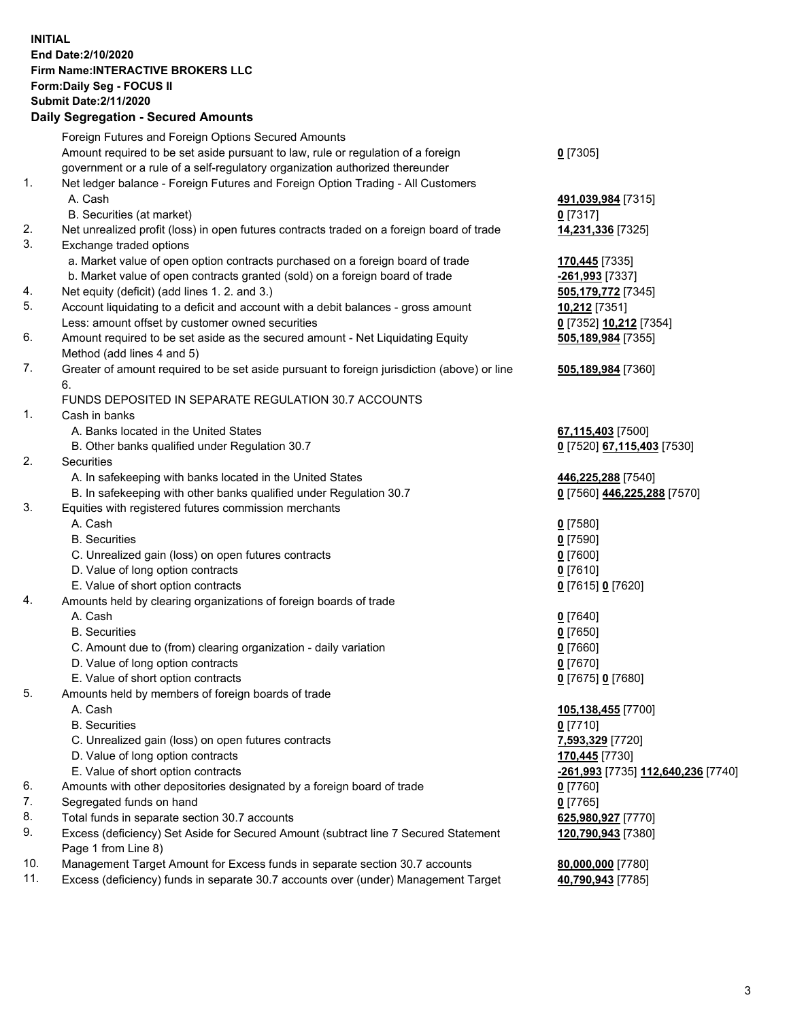## **INITIAL End Date:2/10/2020 Firm Name:INTERACTIVE BROKERS LLC Form:Daily Seg - FOCUS II Submit Date:2/11/2020 Daily Segregation - Secured Amounts**

|     | Daily Ocglegation - Occured Anioants                                                                       |                                    |
|-----|------------------------------------------------------------------------------------------------------------|------------------------------------|
|     | Foreign Futures and Foreign Options Secured Amounts                                                        |                                    |
|     | Amount required to be set aside pursuant to law, rule or regulation of a foreign                           | $0$ [7305]                         |
|     | government or a rule of a self-regulatory organization authorized thereunder                               |                                    |
| 1.  | Net ledger balance - Foreign Futures and Foreign Option Trading - All Customers                            |                                    |
|     | A. Cash                                                                                                    | 491,039,984 [7315]                 |
|     | B. Securities (at market)                                                                                  | $0$ [7317]                         |
| 2.  | Net unrealized profit (loss) in open futures contracts traded on a foreign board of trade                  | 14,231,336 [7325]                  |
| 3.  | Exchange traded options                                                                                    |                                    |
|     | a. Market value of open option contracts purchased on a foreign board of trade                             | 170,445 [7335]                     |
|     | b. Market value of open contracts granted (sold) on a foreign board of trade                               | -261,993 [7337]                    |
| 4.  | Net equity (deficit) (add lines 1.2. and 3.)                                                               | 505,179,772 [7345]                 |
| 5.  | Account liquidating to a deficit and account with a debit balances - gross amount                          | 10,212 [7351]                      |
|     | Less: amount offset by customer owned securities                                                           | 0 [7352] 10,212 [7354]             |
| 6.  | Amount required to be set aside as the secured amount - Net Liquidating Equity                             | 505,189,984 [7355]                 |
|     | Method (add lines 4 and 5)                                                                                 |                                    |
| 7.  | Greater of amount required to be set aside pursuant to foreign jurisdiction (above) or line                | 505,189,984 [7360]                 |
|     | 6.                                                                                                         |                                    |
|     | FUNDS DEPOSITED IN SEPARATE REGULATION 30.7 ACCOUNTS                                                       |                                    |
| 1.  | Cash in banks                                                                                              |                                    |
|     | A. Banks located in the United States                                                                      | 67,115,403 [7500]                  |
|     | B. Other banks qualified under Regulation 30.7                                                             | 0 [7520] 67,115,403 [7530]         |
| 2.  | Securities                                                                                                 |                                    |
|     | A. In safekeeping with banks located in the United States                                                  | 446,225,288 [7540]                 |
|     | B. In safekeeping with other banks qualified under Regulation 30.7                                         | 0 [7560] 446,225,288 [7570]        |
| 3.  | Equities with registered futures commission merchants                                                      |                                    |
|     | A. Cash                                                                                                    | $0$ [7580]                         |
|     | <b>B.</b> Securities                                                                                       | $0$ [7590]                         |
|     | C. Unrealized gain (loss) on open futures contracts                                                        | $0$ [7600]                         |
|     | D. Value of long option contracts                                                                          | $0$ [7610]                         |
|     | E. Value of short option contracts                                                                         | 0 [7615] 0 [7620]                  |
| 4.  | Amounts held by clearing organizations of foreign boards of trade                                          |                                    |
|     | A. Cash                                                                                                    | $0$ [7640]                         |
|     | <b>B.</b> Securities                                                                                       | $0$ [7650]                         |
|     | C. Amount due to (from) clearing organization - daily variation                                            | $0$ [7660]                         |
|     | D. Value of long option contracts                                                                          | $0$ [7670]                         |
|     | E. Value of short option contracts                                                                         | 0 [7675] 0 [7680]                  |
| 5.  | Amounts held by members of foreign boards of trade                                                         |                                    |
|     | A. Cash                                                                                                    | 105,138,455 [7700]                 |
|     | <b>B.</b> Securities                                                                                       | $0$ [7710]                         |
|     | C. Unrealized gain (loss) on open futures contracts                                                        | 7,593,329 [7720]                   |
|     | D. Value of long option contracts                                                                          | 170,445 [7730]                     |
|     | E. Value of short option contracts                                                                         | -261,993 [7735] 112,640,236 [7740] |
| 6.  | Amounts with other depositories designated by a foreign board of trade                                     | $0$ [7760]                         |
| 7.  | Segregated funds on hand                                                                                   | $0$ [7765]                         |
| 8.  | Total funds in separate section 30.7 accounts                                                              | 625,980,927 [7770]                 |
| 9.  | Excess (deficiency) Set Aside for Secured Amount (subtract line 7 Secured Statement<br>Page 1 from Line 8) | 120,790,943 [7380]                 |
| 10. | Management Target Amount for Excess funds in separate section 30.7 accounts                                | 80,000,000 [7780]                  |
| 11. | Excess (deficiency) funds in separate 30.7 accounts over (under) Management Target                         | 40,790,943 [7785]                  |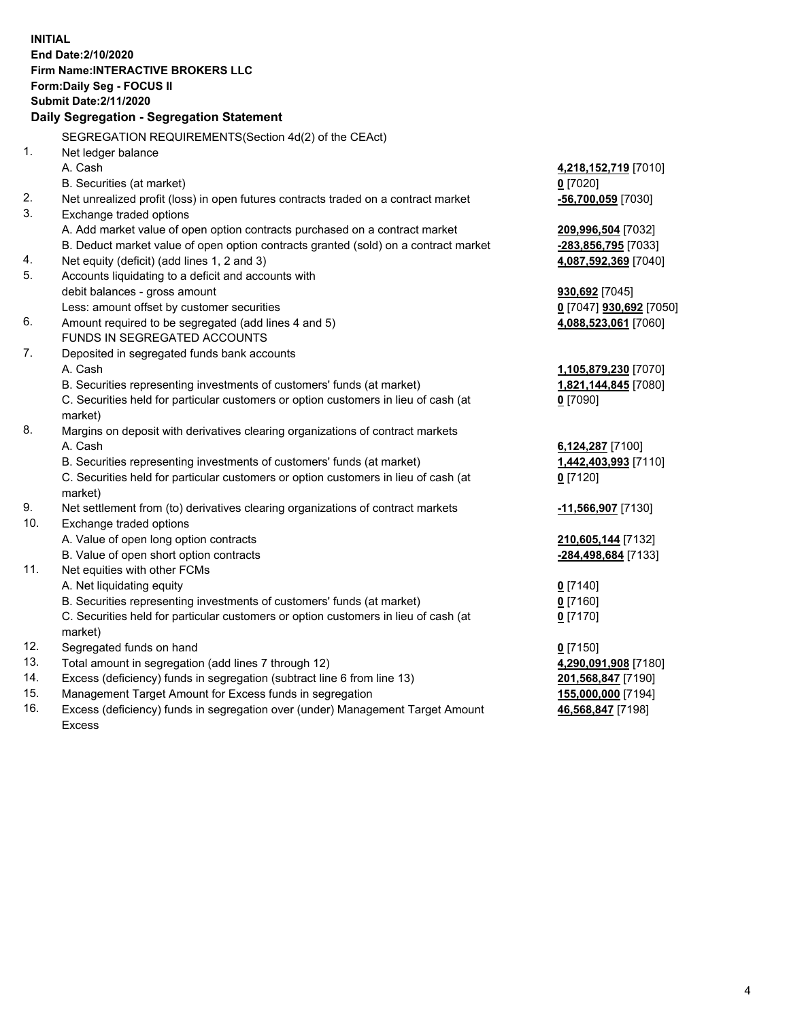**INITIAL End Date:2/10/2020 Firm Name:INTERACTIVE BROKERS LLC Form:Daily Seg - FOCUS II Submit Date:2/11/2020 Daily Segregation - Segregation Statement** SEGREGATION REQUIREMENTS(Section 4d(2) of the CEAct) 1. Net ledger balance A. Cash **4,218,152,719** [7010] B. Securities (at market) **0** [7020] 2. Net unrealized profit (loss) in open futures contracts traded on a contract market **-56,700,059** [7030] 3. Exchange traded options A. Add market value of open option contracts purchased on a contract market **209,996,504** [7032] B. Deduct market value of open option contracts granted (sold) on a contract market **-283,856,795** [7033] 4. Net equity (deficit) (add lines 1, 2 and 3) **4,087,592,369** [7040] 5. Accounts liquidating to a deficit and accounts with debit balances - gross amount **930,692** [7045] Less: amount offset by customer securities **0** [7047] **930,692** [7050] 6. Amount required to be segregated (add lines 4 and 5) **4,088,523,061** [7060] FUNDS IN SEGREGATED ACCOUNTS 7. Deposited in segregated funds bank accounts A. Cash **1,105,879,230** [7070] B. Securities representing investments of customers' funds (at market) **1,821,144,845** [7080] C. Securities held for particular customers or option customers in lieu of cash (at market) **0** [7090] 8. Margins on deposit with derivatives clearing organizations of contract markets A. Cash **6,124,287** [7100] B. Securities representing investments of customers' funds (at market) **1,442,403,993** [7110] C. Securities held for particular customers or option customers in lieu of cash (at market) **0** [7120] 9. Net settlement from (to) derivatives clearing organizations of contract markets **-11,566,907** [7130] 10. Exchange traded options A. Value of open long option contracts **210,605,144** [7132] B. Value of open short option contracts **-284,498,684** [7133] 11. Net equities with other FCMs A. Net liquidating equity **0** [7140] B. Securities representing investments of customers' funds (at market) **0** [7160] C. Securities held for particular customers or option customers in lieu of cash (at market) **0** [7170] 12. Segregated funds on hand **0** [7150] 13. Total amount in segregation (add lines 7 through 12) **4,290,091,908** [7180] 14. Excess (deficiency) funds in segregation (subtract line 6 from line 13) **201,568,847** [7190] 15. Management Target Amount for Excess funds in segregation **155,000,000** [7194] 16. Excess (deficiency) funds in segregation over (under) Management Target Amount **46,568,847** [7198]

Excess